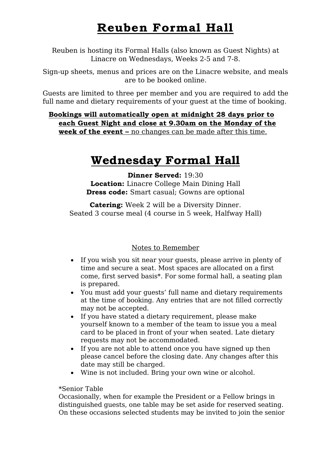# **Reuben Formal Hall**

Reuben is hosting its Formal Halls (also known as Guest Nights) at Linacre on Wednesdays, Weeks 2-5 and 7-8.

Sign-up sheets, menus and prices are on the Linacre website, and meals are to be booked online.

Guests are limited to three per member and you are required to add the full name and dietary requirements of your guest at the time of booking.

**Bookings will automatically open at midnight 28 days prior to each Guest Night and close at 9.30am on the Monday of the week of the event –** no changes can be made after this time.

## **Wednesday Formal Hall**

**Dinner Served:** 19:30 **Location:** Linacre College Main Dining Hall **Dress code:** Smart casual; Gowns are optional

**Catering:** Week 2 will be a Diversity Dinner. Seated 3 course meal (4 course in 5 week, Halfway Hall)

### Notes to Remember

- If you wish you sit near your guests, please arrive in plenty of time and secure a seat. Most spaces are allocated on a first come, first served basis\*. For some formal hall, a seating plan is prepared.
- You must add your guests' full name and dietary requirements at the time of booking. Any entries that are not filled correctly may not be accepted.
- If you have stated a dietary requirement, please make yourself known to a member of the team to issue you a meal card to be placed in front of your when seated. Late dietary requests may not be accommodated.
- If you are not able to attend once you have signed up then please cancel before the closing date. Any changes after this date may still be charged.
- Wine is not included. Bring your own wine or alcohol.

#### \*Senior Table

Occasionally, when for example the President or a Fellow brings in distinguished guests, one table may be set aside for reserved seating. On these occasions selected students may be invited to join the senior